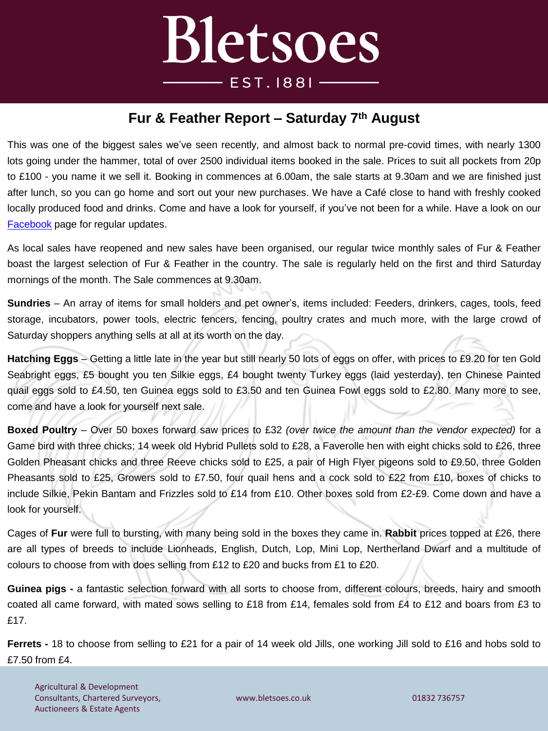## Bletsoes **EST.1881**

## **Fur & Feather Report – Saturday 7 th August**

This was one of the biggest sales we've seen recently, and almost back to normal pre-covid times, with nearly 1300 lots going under the hammer, total of over 2500 individual items booked in the sale. Prices to suit all pockets from 20p to £100 - you name it we sell it. Booking in commences at 6.00am, the sale starts at 9.30am and we are finished just after lunch, so you can go home and sort out your new purchases. We have a Café close to hand with freshly cooked locally produced food and drinks. Come and have a look for yourself, if you've not been for a while. Have a look on our [Facebook](https://www.facebook.com/thrapstonfurandfeather) page for regular updates.

As local sales have reopened and new sales have been organised, our regular twice monthly sales of Fur & Feather boast the largest selection of Fur & Feather in the country. The sale is regularly held on the first and third Saturday mornings of the month. The Sale commences at 9.30am.

**Sundries** – An array of items for small holders and pet owner's, items included: Feeders, drinkers, cages, tools, feed storage, incubators, power tools, electric fencers, fencing, poultry crates and much more, with the large crowd of Saturday shoppers anything sells at all at its worth on the day.

**Hatching Eggs** – Getting a little late in the year but still nearly 50 lots of eggs on offer, with prices to £9.20 for ten Gold Seabright eggs, £5 bought you ten Silkie eggs, £4 bought twenty Turkey eggs (laid yesterday), ten Chinese Painted quail eggs sold to £4.50, ten Guinea eggs sold to £3.50 and ten Guinea Fowl eggs sold to £2.80. Many more to see, come and have a look for yourself next sale.

**Boxed Poultry** – Over 50 boxes forward saw prices to £32 *(over twice the amount than the vendor expected)* for a Game bird with three chicks; 14 week old Hybrid Pullets sold to £28, a Faverolle hen with eight chicks sold to £26, three Golden Pheasant chicks and three Reeve chicks sold to £25, a pair of High Flyer pigeons sold to £9.50, three Golden Pheasants sold to £25, Growers sold to £7.50, four quail hens and a cock sold to £22 from £10, boxes of chicks to include Silkie, Pekin Bantam and Frizzles sold to £14 from £10. Other boxes sold from £2-£9. Come down and have a look for yourself.

Cages of **Fur** were full to bursting, with many being sold in the boxes they came in. **Rabbit** prices topped at £26, there are all types of breeds to include Lionheads, English, Dutch, Lop, Mini Lop, Nertherland Dwarf and a multitude of colours to choose from with does selling from £12 to £20 and bucks from £1 to £20.

**Guinea pigs -** a fantastic selection forward with all sorts to choose from, different colours, breeds, hairy and smooth coated all came forward, with mated sows selling to £18 from £14, females sold from £4 to £12 and boars from £3 to £17.

**Ferrets -** 18 to choose from selling to £21 for a pair of 14 week old Jills, one working Jill sold to £16 and hobs sold to £7.50 from £4.